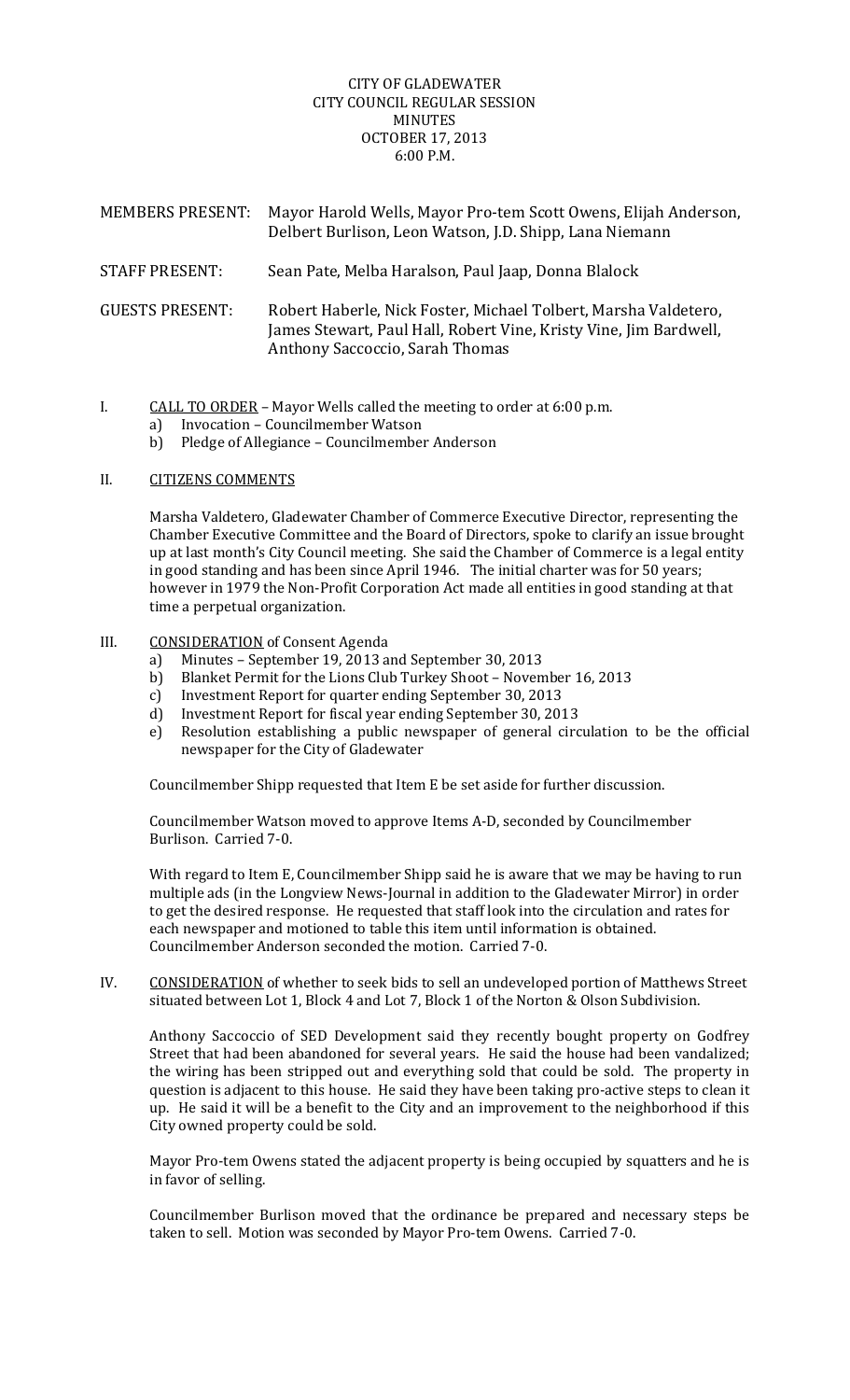## CITY OF GLADEWATER CITY COUNCIL REGULAR SESSION MINUTES OCTOBER 17, 2013 6:00 P.M.

| <b>MEMBERS PRESENT:</b> | Mayor Harold Wells, Mayor Pro-tem Scott Owens, Elijah Anderson,<br>Delbert Burlison, Leon Watson, J.D. Shipp, Lana Niemann                                              |
|-------------------------|-------------------------------------------------------------------------------------------------------------------------------------------------------------------------|
| <b>STAFF PRESENT:</b>   | Sean Pate, Melba Haralson, Paul Jaap, Donna Blalock                                                                                                                     |
| <b>GUESTS PRESENT:</b>  | Robert Haberle, Nick Foster, Michael Tolbert, Marsha Valdetero,<br>James Stewart, Paul Hall, Robert Vine, Kristy Vine, Jim Bardwell,<br>Anthony Saccoccio, Sarah Thomas |

- I.  $CALL TO ORDER Mayor Wells called the meeting to order at 6:00 p.m.$ 
	- a) Invocation Councilmember Watson
	- b) Pledge of Allegiance Councilmember Anderson

## II. **CITIZENS COMMENTS**

Marsha Valdetero, Gladewater Chamber of Commerce Executive Director, representing the Chamber Executive Committee and the Board of Directors, spoke to clarify an issue brought up at last month's City Council meeting. She said the Chamber of Commerce is a legal entity in good standing and has been since April 1946. The initial charter was for 50 years; however in 1979 the Non-Profit Corporation Act made all entities in good standing at that time a perpetual organization.

## III. CONSIDERATION of Consent Agenda

- a) Minutes September 19, 2013 and September 30, 2013
- b) Blanket Permit for the Lions Club Turkey Shoot November 16, 2013
- c) Investment Report for quarter ending September 30, 2013
- d) Investment Report for fiscal year ending September 30, 2013
- e) Resolution establishing a public newspaper of general circulation to be the official newspaper for the City of Gladewater

Councilmember Shipp requested that Item E be set aside for further discussion.

Councilmember Watson moved to approve Items A-D, seconded by Councilmember Burlison. Carried 7-0.

With regard to Item E, Councilmember Shipp said he is aware that we may be having to run multiple ads (in the Longview News-Journal in addition to the Gladewater Mirror) in order to get the desired response. He requested that staff look into the circulation and rates for each newspaper and motioned to table this item until information is obtained. Councilmember Anderson seconded the motion. Carried 7-0.

IV. CONSIDERATION of whether to seek bids to sell an undeveloped portion of Matthews Street situated between Lot 1, Block 4 and Lot 7, Block 1 of the Norton & Olson Subdivision.

Anthony Saccoccio of SED Development said they recently bought property on Godfrey Street that had been abandoned for several years. He said the house had been vandalized; the wiring has been stripped out and everything sold that could be sold. The property in question is adjacent to this house. He said they have been taking pro-active steps to clean it up. He said it will be a benefit to the City and an improvement to the neighborhood if this City owned property could be sold.

Mayor Pro-tem Owens stated the adjacent property is being occupied by squatters and he is in favor of selling.

Councilmember Burlison moved that the ordinance be prepared and necessary steps be taken to sell. Motion was seconded by Mayor Pro-tem Owens. Carried 7-0.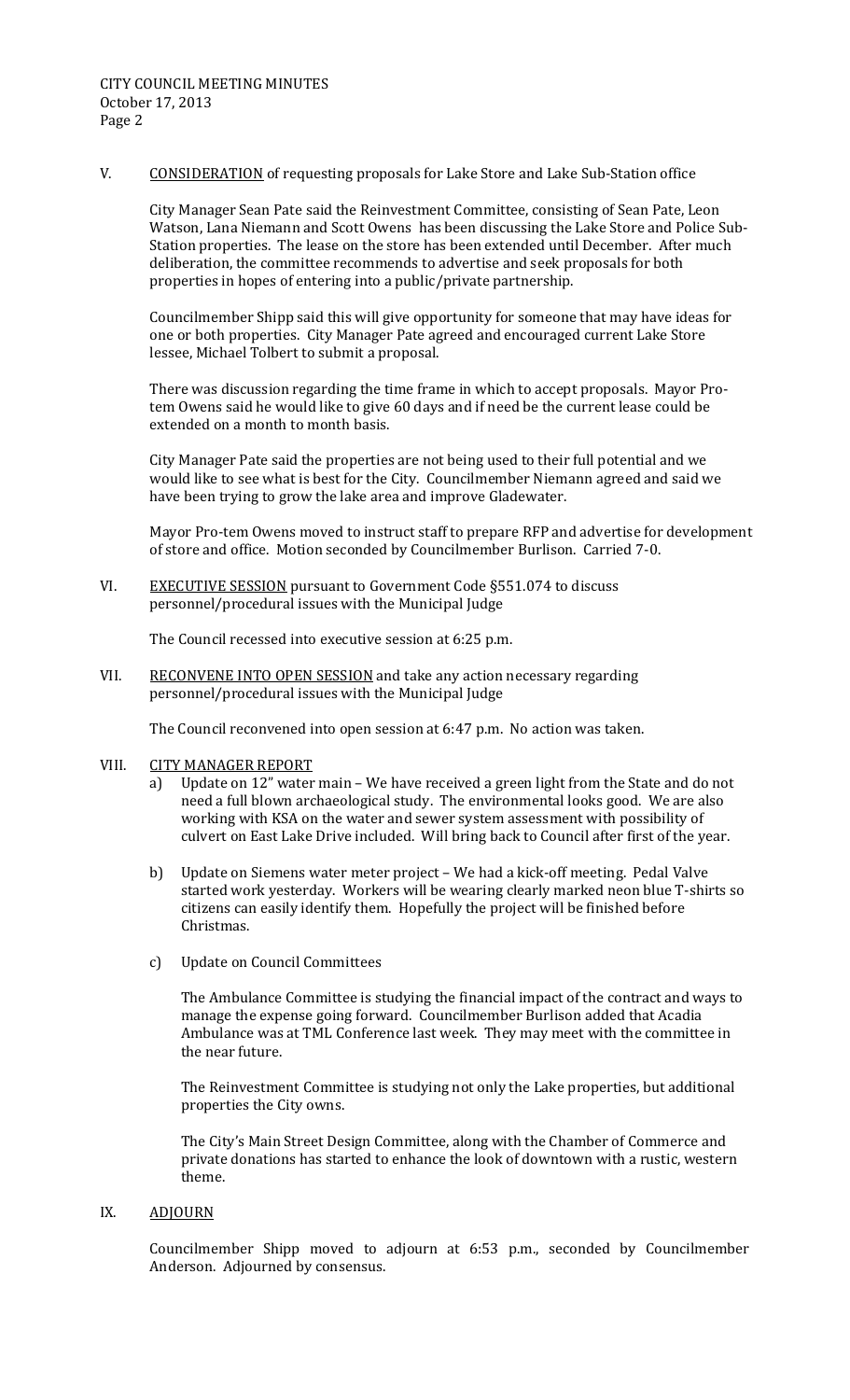V. CONSIDERATION of requesting proposals for Lake Store and Lake Sub-Station office

City Manager Sean Pate said the Reinvestment Committee, consisting of Sean Pate, Leon Watson, Lana Niemann and Scott Owens has been discussing the Lake Store and Police Sub-Station properties. The lease on the store has been extended until December. After much deliberation, the committee recommends to advertise and seek proposals for both properties in hopes of entering into a public/private partnership.

Councilmember Shipp said this will give opportunity for someone that may have ideas for one or both properties. City Manager Pate agreed and encouraged current Lake Store lessee, Michael Tolbert to submit a proposal.

There was discussion regarding the time frame in which to accept proposals. Mayor Protem Owens said he would like to give 60 days and if need be the current lease could be extended on a month to month basis.

City Manager Pate said the properties are not being used to their full potential and we would like to see what is best for the City. Councilmember Niemann agreed and said we have been trying to grow the lake area and improve Gladewater.

Mayor Pro-tem Owens moved to instruct staff to prepare RFP and advertise for development of store and office. Motion seconded by Councilmember Burlison. Carried 7-0.

VI. EXECUTIVE SESSION pursuant to Government Code §551.074 to discuss personnel/procedural issues with the Municipal Judge

The Council recessed into executive session at 6:25 p.m.

VII. RECONVENE INTO OPEN SESSION and take any action necessary regarding personnel/procedural issues with the Municipal Judge

The Council reconvened into open session at 6:47 p.m. No action was taken.

- VIII. CITY MANAGER REPORT
	- a) Update on 12" water main We have received a green light from the State and do not need a full blown archaeological study. The environmental looks good. We are also working with KSA on the water and sewer system assessment with possibility of culvert on East Lake Drive included. Will bring back to Council after first of the year.
	- b) Update on Siemens water meter project We had a kick-off meeting. Pedal Valve started work yesterday. Workers will be wearing clearly marked neon blue T-shirts so citizens can easily identify them. Hopefully the project will be finished before Christmas.
	- c) Update on Council Committees

The Ambulance Committee is studying the financial impact of the contract and ways to manage the expense going forward. Councilmember Burlison added that Acadia Ambulance was at TML Conference last week. They may meet with the committee in the near future.

The Reinvestment Committee is studying not only the Lake properties, but additional properties the City owns.

The City's Main Street Design Committee, along with the Chamber of Commerce and private donations has started to enhance the look of downtown with a rustic, western theme. 

## IX. **ADJOURN**

Councilmember Shipp moved to adjourn at 6:53 p.m., seconded by Councilmember Anderson. Adjourned by consensus.